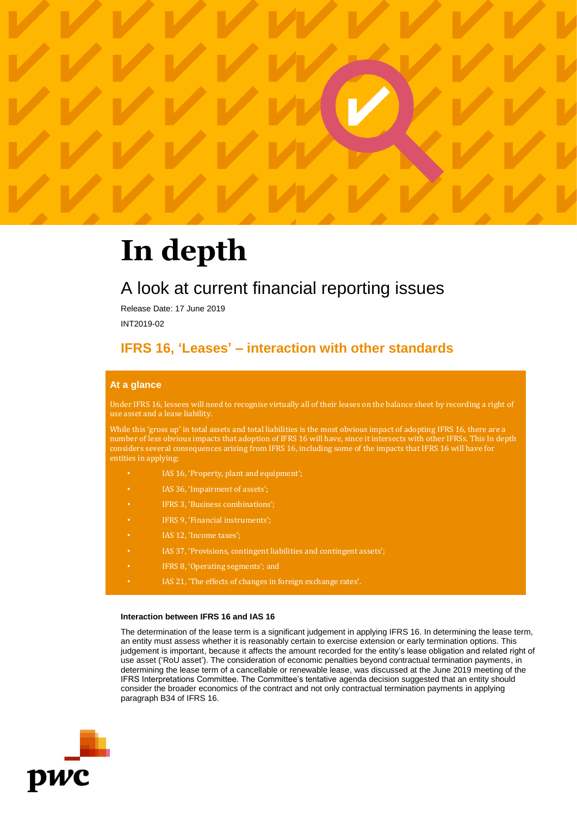

# **In depth**

# A look at current financial reporting issues

Release Date: 17 June 2019

INT2019-02

# **IFRS 16, 'Leases' – interaction with other standards**

# **At a glance**

Under IFRS 16, lessees will need to recognise virtually all of their leases on the balance sheet by recording a right of use asset and a lease liability.

While this 'gross up' in total assets and total liabilities is the most obvious impact of adopting IFRS 16, there are a number of less obvious impacts that adoption of IFRS 16 will have, since it intersects with other IFRSs. This In depth considers several consequences arising from IFRS 16, including some of the impacts that IFRS 16 will have for entities in applying:

- IAS 16, 'Property, plant and equipment';
- IAS 36, 'Impairment of assets';
- IFRS 3, 'Business combinations';
- IFRS 9, 'Financial instruments';
- IAS 12, 'Income taxes';
- IAS 37, 'Provisions, contingent liabilities and contingent assets';
- IFRS 8, 'Operating segments'; and
- IAS 21, 'The effects of changes in foreign exchange rates'.

# **Interaction between IFRS 16 and IAS 16**

The determination of the lease term is a significant judgement in applying IFRS 16. In determining the lease term, an entity must assess whether it is reasonably certain to exercise extension or early termination options. This judgement is important, because it affects the amount recorded for the entity's lease obligation and related right of use asset ('RoU asset'). The consideration of economic penalties beyond contractual termination payments, in determining the lease term of a cancellable or renewable lease, was discussed at the June 2019 meeting of the IFRS Interpretations Committee. The Committee's tentative agenda decision suggested that an entity should consider the broader economics of the contract and not only contractual termination payments in applying paragraph B34 of IFRS 16.

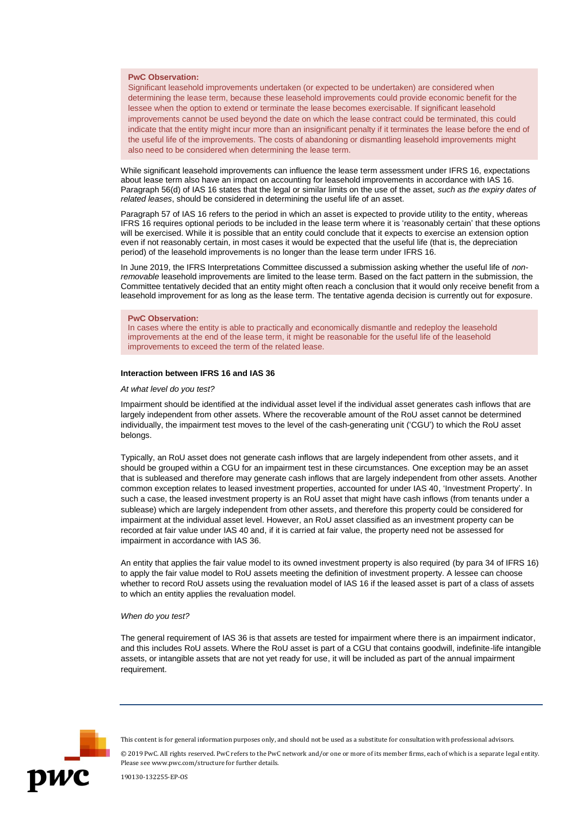# **PwC Observation:**

Significant leasehold improvements undertaken (or expected to be undertaken) are considered when determining the lease term, because these leasehold improvements could provide economic benefit for the lessee when the option to extend or terminate the lease becomes exercisable. If significant leasehold improvements cannot be used beyond the date on which the lease contract could be terminated, this could indicate that the entity might incur more than an insignificant penalty if it terminates the lease before the end of the useful life of the improvements. The costs of abandoning or dismantling leasehold improvements might also need to be considered when determining the lease term.

While significant leasehold improvements can influence the lease term assessment under IFRS 16, expectations about lease term also have an impact on accounting for leasehold improvements in accordance with IAS 16. Paragraph 56(d) of IAS 16 states that the legal or similar limits on the use of the asset, *such as the expiry dates of related leases*, should be considered in determining the useful life of an asset.

Paragraph 57 of IAS 16 refers to the period in which an asset is expected to provide utility to the entity, whereas IFRS 16 requires optional periods to be included in the lease term where it is 'reasonably certain' that these options will be exercised. While it is possible that an entity could conclude that it expects to exercise an extension option even if not reasonably certain, in most cases it would be expected that the useful life (that is, the depreciation period) of the leasehold improvements is no longer than the lease term under IFRS 16.

In June 2019, the IFRS Interpretations Committee discussed a submission asking whether the useful life of *nonremovable* leasehold improvements are limited to the lease term. Based on the fact pattern in the submission, the Committee tentatively decided that an entity might often reach a conclusion that it would only receive benefit from a leasehold improvement for as long as the lease term. The tentative agenda decision is currently out for exposure.

#### **PwC Observation:**

In cases where the entity is able to practically and economically dismantle and redeploy the leasehold improvements at the end of the lease term, it might be reasonable for the useful life of the leasehold improvements to exceed the term of the related lease.

# **Interaction between IFRS 16 and IAS 36**

# *At what level do you test?*

Impairment should be identified at the individual asset level if the individual asset generates cash inflows that are largely independent from other assets. Where the recoverable amount of the RoU asset cannot be determined individually, the impairment test moves to the level of the cash-generating unit ('CGU') to which the RoU asset belongs.

Typically, an RoU asset does not generate cash inflows that are largely independent from other assets, and it should be grouped within a CGU for an impairment test in these circumstances. One exception may be an asset that is subleased and therefore may generate cash inflows that are largely independent from other assets. Another common exception relates to leased investment properties, accounted for under IAS 40, 'Investment Property'. In such a case, the leased investment property is an RoU asset that might have cash inflows (from tenants under a sublease) which are largely independent from other assets, and therefore this property could be considered for impairment at the individual asset level. However, an RoU asset classified as an investment property can be recorded at fair value under IAS 40 and, if it is carried at fair value, the property need not be assessed for impairment in accordance with IAS 36.

An entity that applies the fair value model to its owned investment property is also required (by para 34 of IFRS 16) to apply the fair value model to RoU assets meeting the definition of investment property. A lessee can choose whether to record RoU assets using the revaluation model of IAS 16 if the leased asset is part of a class of assets to which an entity applies the revaluation model.

#### *When do you test?*

The general requirement of IAS 36 is that assets are tested for impairment where there is an impairment indicator, and this includes RoU assets. Where the RoU asset is part of a CGU that contains goodwill, indefinite-life intangible assets, or intangible assets that are not yet ready for use, it will be included as part of the annual impairment requirement.



This content is for general information purposes only, and should not be used as a substitute for consultation with professional advisors.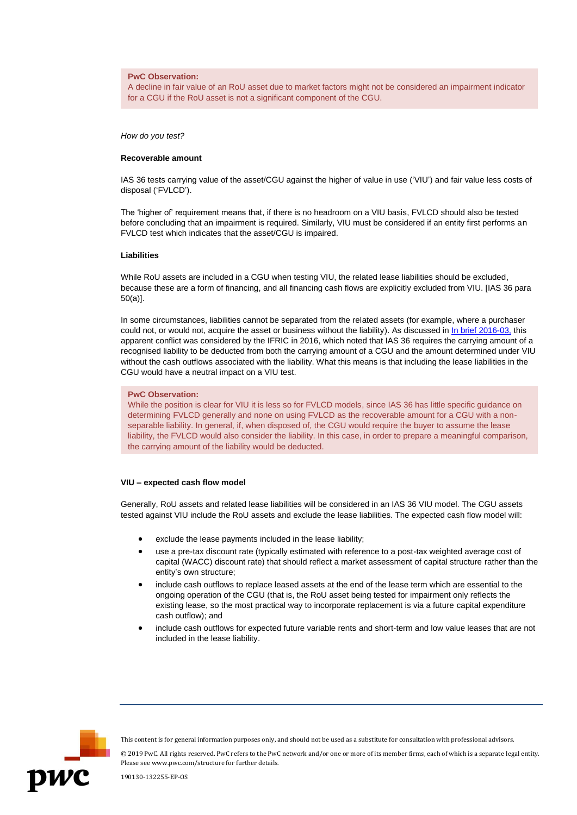# **PwC Observation:**

A decline in fair value of an RoU asset due to market factors might not be considered an impairment indicator for a CGU if the RoU asset is not a significant component of the CGU.

*How do you test?*

# **Recoverable amount**

IAS 36 tests carrying value of the asset/CGU against the higher of value in use ('VIU') and fair value less costs of disposal ('FVLCD').

The 'higher of' requirement means that, if there is no headroom on a VIU basis, FVLCD should also be tested before concluding that an impairment is required. Similarly, VIU must be considered if an entity first performs an FVLCD test which indicates that the asset/CGU is impaired.

# **Liabilities**

While RoU assets are included in a CGU when testing VIU, the related lease liabilities should be excluded, because these are a form of financing, and all financing cash flows are explicitly excluded from VIU. [IAS 36 para 50(a)].

In some circumstances, liabilities cannot be separated from the related assets (for example, where a purchaser could not, or would not, acquire the asset or business without the liability). As discussed in In [brief 2016-03,](https://inform.pwc.com/s/IAS_36_Impact_of_a_decommissioning_liability_in_determining_the_recoverable_amount_of_a_CGU_PwC_In_brief_INT2016_13/informContent/1659201407141042/Y/doc#ic_1659201407141042) this apparent conflict was considered by the IFRIC in 2016, which noted that IAS 36 requires the carrying amount of a recognised liability to be deducted from both the carrying amount of a CGU and the amount determined under VIU without the cash outflows associated with the liability. What this means is that including the lease liabilities in the CGU would have a neutral impact on a VIU test.

### **PwC Observation:**

While the position is clear for VIU it is less so for FVLCD models, since IAS 36 has little specific guidance on determining FVLCD generally and none on using FVLCD as the recoverable amount for a CGU with a nonseparable liability. In general, if, when disposed of, the CGU would require the buyer to assume the lease liability, the FVLCD would also consider the liability. In this case, in order to prepare a meaningful comparison, the carrying amount of the liability would be deducted.

# **VIU – expected cash flow model**

Generally, RoU assets and related lease liabilities will be considered in an IAS 36 VIU model. The CGU assets tested against VIU include the RoU assets and exclude the lease liabilities. The expected cash flow model will:

- exclude the lease payments included in the lease liability;
- use a pre-tax discount rate (typically estimated with reference to a post-tax weighted average cost of capital (WACC) discount rate) that should reflect a market assessment of capital structure rather than the entity's own structure;
- include cash outflows to replace leased assets at the end of the lease term which are essential to the ongoing operation of the CGU (that is, the RoU asset being tested for impairment only reflects the existing lease, so the most practical way to incorporate replacement is via a future capital expenditure cash outflow); and
- include cash outflows for expected future variable rents and short-term and low value leases that are not included in the lease liability.



This content is for general information purposes only, and should not be used as a substitute for consultation with professional advisors.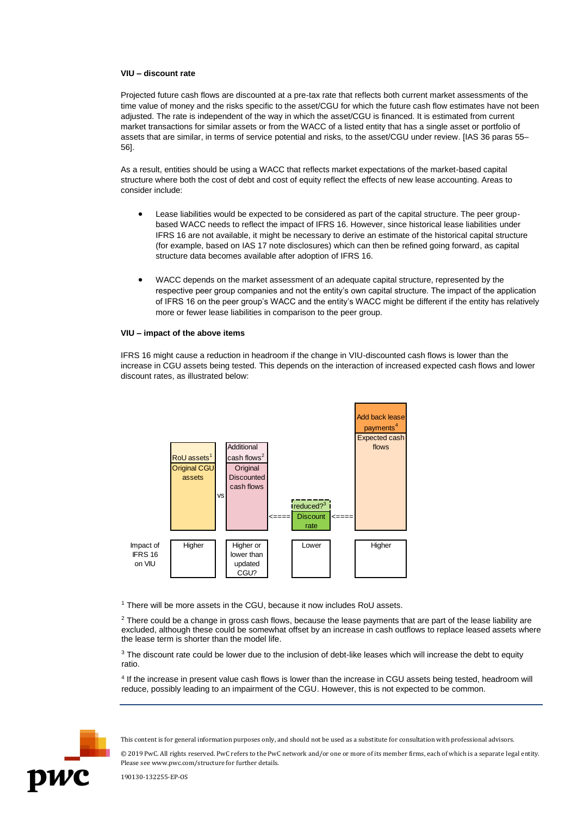# **VIU – discount rate**

Projected future cash flows are discounted at a pre-tax rate that reflects both current market assessments of the time value of money and the risks specific to the asset/CGU for which the future cash flow estimates have not been adjusted. The rate is independent of the way in which the asset/CGU is financed. It is estimated from current market transactions for similar assets or from the WACC of a listed entity that has a single asset or portfolio of assets that are similar, in terms of service potential and risks, to the asset/CGU under review. [IAS 36 paras 55– 56].

As a result, entities should be using a WACC that reflects market expectations of the market-based capital structure where both the cost of debt and cost of equity reflect the effects of new lease accounting. Areas to consider include:

- Lease liabilities would be expected to be considered as part of the capital structure. The peer groupbased WACC needs to reflect the impact of IFRS 16. However, since historical lease liabilities under IFRS 16 are not available, it might be necessary to derive an estimate of the historical capital structure (for example, based on IAS 17 note disclosures) which can then be refined going forward, as capital structure data becomes available after adoption of IFRS 16.
- WACC depends on the market assessment of an adequate capital structure, represented by the respective peer group companies and not the entity's own capital structure. The impact of the application of IFRS 16 on the peer group's WACC and the entity's WACC might be different if the entity has relatively more or fewer lease liabilities in comparison to the peer group.

# **VIU – impact of the above items**

IFRS 16 might cause a reduction in headroom if the change in VIU-discounted cash flows is lower than the increase in CGU assets being tested. This depends on the interaction of increased expected cash flows and lower discount rates, as illustrated below:



<sup>1</sup> There will be more assets in the CGU, because it now includes RoU assets.

 $2$  There could be a change in gross cash flows, because the lease payments that are part of the lease liability are excluded, although these could be somewhat offset by an increase in cash outflows to replace leased assets where the lease term is shorter than the model life.

<sup>3</sup> The discount rate could be lower due to the inclusion of debt-like leases which will increase the debt to equity ratio.

4 If the increase in present value cash flows is lower than the increase in CGU assets being tested, headroom will reduce, possibly leading to an impairment of the CGU. However, this is not expected to be common.



This content is for general information purposes only, and should not be used as a substitute for consultation with professional advisors.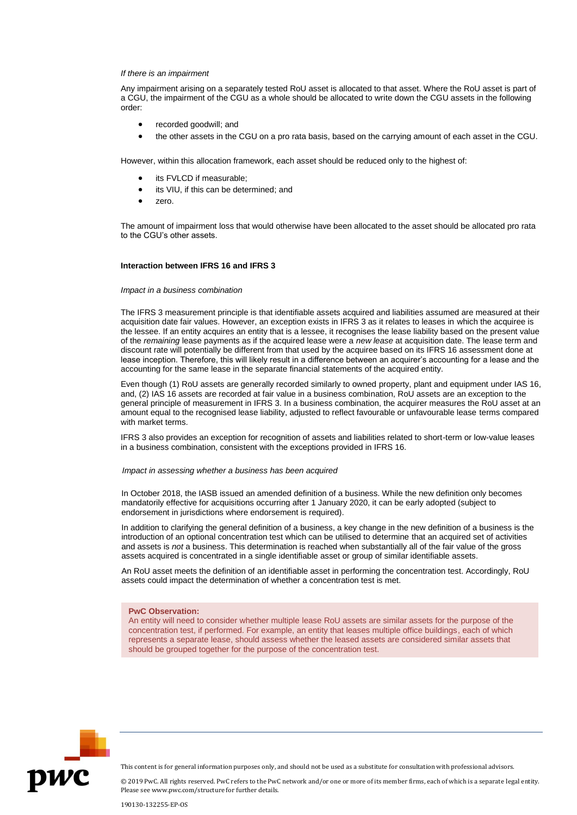# *If there is an impairment*

Any impairment arising on a separately tested RoU asset is allocated to that asset. Where the RoU asset is part of a CGU, the impairment of the CGU as a whole should be allocated to write down the CGU assets in the following order:

- recorded goodwill; and
- the other assets in the CGU on a pro rata basis, based on the carrying amount of each asset in the CGU.

However, within this allocation framework, each asset should be reduced only to the highest of:

- its FVLCD if measurable;
- its VIU, if this can be determined; and
- zero.

The amount of impairment loss that would otherwise have been allocated to the asset should be allocated pro rata to the CGU's other assets.

#### **Interaction between IFRS 16 and IFRS 3**

# *Impact in a business combination*

The IFRS 3 measurement principle is that identifiable assets acquired and liabilities assumed are measured at their acquisition date fair values. However, an exception exists in IFRS 3 as it relates to leases in which the acquiree is the lessee. If an entity acquires an entity that is a lessee, it recognises the lease liability based on the present value of the *remaining* lease payments as if the acquired lease were a *new lease* at acquisition date. The lease term and discount rate will potentially be different from that used by the acquiree based on its IFRS 16 assessment done at lease inception. Therefore, this will likely result in a difference between an acquirer's accounting for a lease and the accounting for the same lease in the separate financial statements of the acquired entity.

Even though (1) RoU assets are generally recorded similarly to owned property, plant and equipment under IAS 16, and, (2) IAS 16 assets are recorded at fair value in a business combination, RoU assets are an exception to the general principle of measurement in IFRS 3. In a business combination, the acquirer measures the RoU asset at an amount equal to the recognised lease liability, adjusted to reflect favourable or unfavourable lease terms compared with market terms.

IFRS 3 also provides an exception for recognition of assets and liabilities related to short-term or low-value leases in a business combination, consistent with the exceptions provided in IFRS 16.

# *Impact in assessing whether a business has been acquired*

In October 2018, the IASB issued an amended definition of a business. While the new definition only becomes mandatorily effective for acquisitions occurring after 1 January 2020, it can be early adopted (subject to endorsement in jurisdictions where endorsement is required).

In addition to clarifying the general definition of a business, a key change in the new definition of a business is the introduction of an optional concentration test which can be utilised to determine that an acquired set of activities and assets is *not* a business. This determination is reached when substantially all of the fair value of the gross assets acquired is concentrated in a single identifiable asset or group of similar identifiable assets.

An RoU asset meets the definition of an identifiable asset in performing the concentration test. Accordingly, RoU assets could impact the determination of whether a concentration test is met.

# **PwC Observation:**

An entity will need to consider whether multiple lease RoU assets are similar assets for the purpose of the concentration test, if performed. For example, an entity that leases multiple office buildings, each of which represents a separate lease, should assess whether the leased assets are considered similar assets that should be grouped together for the purpose of the concentration test.



This content is for general information purposes only, and should not be used as a substitute for consultation with professional advisors.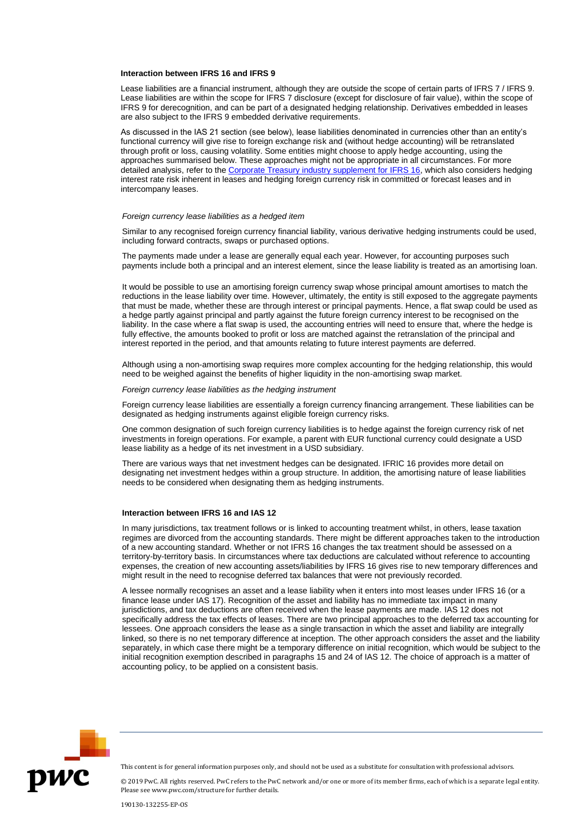# **Interaction between IFRS 16 and IFRS 9**

Lease liabilities are a financial instrument, although they are outside the scope of certain parts of IFRS 7 / IFRS 9. Lease liabilities are within the scope for IFRS 7 disclosure (except for disclosure of fair value), within the scope of IFRS 9 for derecognition, and can be part of a designated hedging relationship. Derivatives embedded in leases are also subject to the IFRS 9 embedded derivative requirements.

As discussed in the IAS 21 section (see below), lease liabilities denominated in currencies other than an entity's functional currency will give rise to foreign exchange risk and (without hedge accounting) will be retranslated through profit or loss, causing volatility. Some entities might choose to apply hedge accounting, using the approaches summarised below. These approaches might not be appropriate in all circumstances. For more detailed analysis, refer to th[e Corporate Treasury industry supplement for IFRS 16,](https://inform.pwc.com/inform2/show?action=informContent&id=1647022702109561#ifrs16_corporate_treasury) which also considers hedging interest rate risk inherent in leases and hedging foreign currency risk in committed or forecast leases and in intercompany leases.

#### *Foreign currency lease liabilities as a hedged item*

Similar to any recognised foreign currency financial liability, various derivative hedging instruments could be used, including forward contracts, swaps or purchased options.

The payments made under a lease are generally equal each year. However, for accounting purposes such payments include both a principal and an interest element, since the lease liability is treated as an amortising loan.

It would be possible to use an amortising foreign currency swap whose principal amount amortises to match the reductions in the lease liability over time. However, ultimately, the entity is still exposed to the aggregate payments that must be made, whether these are through interest or principal payments. Hence, a flat swap could be used as a hedge partly against principal and partly against the future foreign currency interest to be recognised on the liability. In the case where a flat swap is used, the accounting entries will need to ensure that, where the hedge is fully effective, the amounts booked to profit or loss are matched against the retranslation of the principal and interest reported in the period, and that amounts relating to future interest payments are deferred.

Although using a non-amortising swap requires more complex accounting for the hedging relationship, this would need to be weighed against the benefits of higher liquidity in the non-amortising swap market.

*Foreign currency lease liabilities as the hedging instrument*

Foreign currency lease liabilities are essentially a foreign currency financing arrangement. These liabilities can be designated as hedging instruments against eligible foreign currency risks.

One common designation of such foreign currency liabilities is to hedge against the foreign currency risk of net investments in foreign operations. For example, a parent with EUR functional currency could designate a USD lease liability as a hedge of its net investment in a USD subsidiary.

There are various ways that net investment hedges can be designated. IFRIC 16 provides more detail on designating net investment hedges within a group structure. In addition, the amortising nature of lease liabilities needs to be considered when designating them as hedging instruments.

# **Interaction between IFRS 16 and IAS 12**

In many jurisdictions, tax treatment follows or is linked to accounting treatment whilst, in others, lease taxation regimes are divorced from the accounting standards. There might be different approaches taken to the introduction of a new accounting standard. Whether or not IFRS 16 changes the tax treatment should be assessed on a territory-by-territory basis. In circumstances where tax deductions are calculated without reference to accounting expenses, the creation of new accounting assets/liabilities by IFRS 16 gives rise to new temporary differences and might result in the need to recognise deferred tax balances that were not previously recorded.

A lessee normally recognises an asset and a lease liability when it enters into most leases under IFRS 16 (or a finance lease under IAS 17). Recognition of the asset and liability has no immediate tax impact in many jurisdictions, and tax deductions are often received when the lease payments are made. IAS 12 does not specifically address the tax effects of leases. There are two principal approaches to the deferred tax accounting for lessees. One approach considers the lease as a single transaction in which the asset and liability are integrally linked, so there is no net temporary difference at inception. The other approach considers the asset and the liability separately, in which case there might be a temporary difference on initial recognition, which would be subject to the initial recognition exemption described in paragraphs 15 and 24 of IAS 12. The choice of approach is a matter of accounting policy, to be applied on a consistent basis.



This content is for general information purposes only, and should not be used as a substitute for consultation with professional advisors.